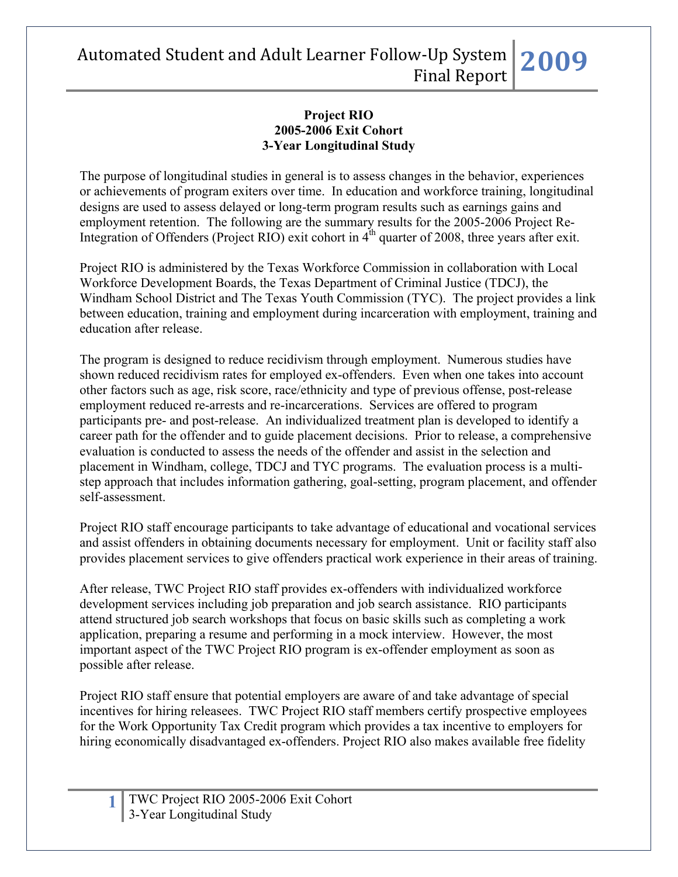#### **Project RIO 2005-2006 Exit Cohort 3-Year Longitudinal Study**

The purpose of longitudinal studies in general is to assess changes in the behavior, experiences or achievements of program exiters over time. In education and workforce training, longitudinal designs are used to assess delayed or long-term program results such as earnings gains and employment retention. The following are the summary results for the 2005-2006 Project Re-Integration of Offenders (Project RIO) exit cohort in  $4<sup>th</sup>$  quarter of 2008, three years after exit.

Project RIO is administered by the Texas Workforce Commission in collaboration with Local Workforce Development Boards, the Texas Department of Criminal Justice (TDCJ), the Windham School District and The Texas Youth Commission (TYC). The project provides a link between education, training and employment during incarceration with employment, training and education after release.

The program is designed to reduce recidivism through employment. Numerous studies have shown reduced recidivism rates for employed ex-offenders. Even when one takes into account other factors such as age, risk score, race/ethnicity and type of previous offense, post-release employment reduced re-arrests and re-incarcerations. Services are offered to program participants pre- and post-release. An individualized treatment plan is developed to identify a career path for the offender and to guide placement decisions. Prior to release, a comprehensive evaluation is conducted to assess the needs of the offender and assist in the selection and placement in Windham, college, TDCJ and TYC programs. The evaluation process is a multistep approach that includes information gathering, goal-setting, program placement, and offender self-assessment.

Project RIO staff encourage participants to take advantage of educational and vocational services and assist offenders in obtaining documents necessary for employment. Unit or facility staff also provides placement services to give offenders practical work experience in their areas of training.

After release, TWC Project RIO staff provides ex-offenders with individualized workforce development services including job preparation and job search assistance. RIO participants attend structured job search workshops that focus on basic skills such as completing a work application, preparing a resume and performing in a mock interview. However, the most important aspect of the TWC Project RIO program is ex-offender employment as soon as possible after release.

Project RIO staff ensure that potential employers are aware of and take advantage of special incentives for hiring releasees. TWC Project RIO staff members certify prospective employees for the Work Opportunity Tax Credit program which provides a tax incentive to employers for hiring economically disadvantaged ex-offenders. Project RIO also makes available free fidelity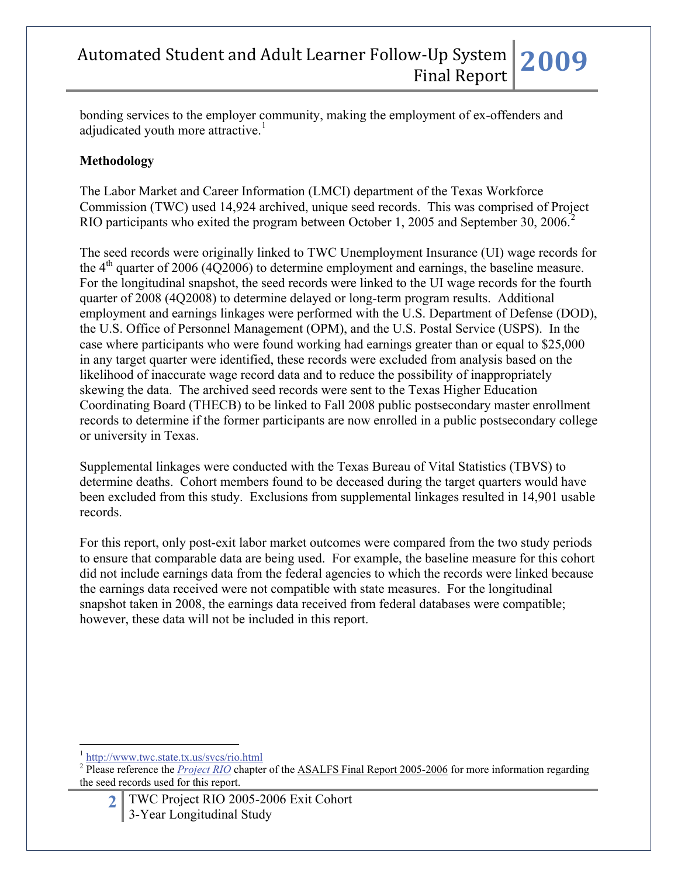bonding services to the employer community, making the employment of ex-offenders and adjudicated youth more attractive.<sup>[1](#page-1-0)</sup>

### **Methodology**

The Labor Market and Career Information (LMCI) department of the Texas Workforce Commission (TWC) used 14,924 archived, unique seed records. This was comprised of Project RIO participants who exited the program between October 1, [2](#page-1-1)005 and September 30, 2006.<sup>2</sup>

The seed records were originally linked to TWC Unemployment Insurance (UI) wage records for the  $4<sup>th</sup>$  quarter of 2006 (4Q2006) to determine employment and earnings, the baseline measure. For the longitudinal snapshot, the seed records were linked to the UI wage records for the fourth quarter of 2008 (4Q2008) to determine delayed or long-term program results. Additional employment and earnings linkages were performed with the U.S. Department of Defense (DOD), the U.S. Office of Personnel Management (OPM), and the U.S. Postal Service (USPS). In the case where participants who were found working had earnings greater than or equal to \$25,000 in any target quarter were identified, these records were excluded from analysis based on the likelihood of inaccurate wage record data and to reduce the possibility of inappropriately skewing the data. The archived seed records were sent to the Texas Higher Education Coordinating Board (THECB) to be linked to Fall 2008 public postsecondary master enrollment records to determine if the former participants are now enrolled in a public postsecondary college or university in Texas.

Supplemental linkages were conducted with the Texas Bureau of Vital Statistics (TBVS) to determine deaths. Cohort members found to be deceased during the target quarters would have been excluded from this study. Exclusions from supplemental linkages resulted in 14,901 usable records.

For this report, only post-exit labor market outcomes were compared from the two study periods to ensure that comparable data are being used. For example, the baseline measure for this cohort did not include earnings data from the federal agencies to which the records were linked because the earnings data received were not compatible with state measures. For the longitudinal snapshot taken in 2008, the earnings data received from federal databases were compatible; however, these data will not be included in this report.

 $\overline{a}$ 

**2** TWC Project RIO 2005-2006 Exit Cohort 3-Year Longitudinal Study

<http://www.twc.state.tx.us/svcs/rio.html>

<span id="page-1-1"></span><span id="page-1-0"></span><sup>&</sup>lt;sup>2</sup> Please reference the *[Project RIO](http://www.lmci.state.tx.us/researchers/Automated/Downloads/FinalReport02-03/Project_RIO2004.pdf)* chapter of the ASALFS Final Report 2005-2006 for more information regarding the seed records used for this report.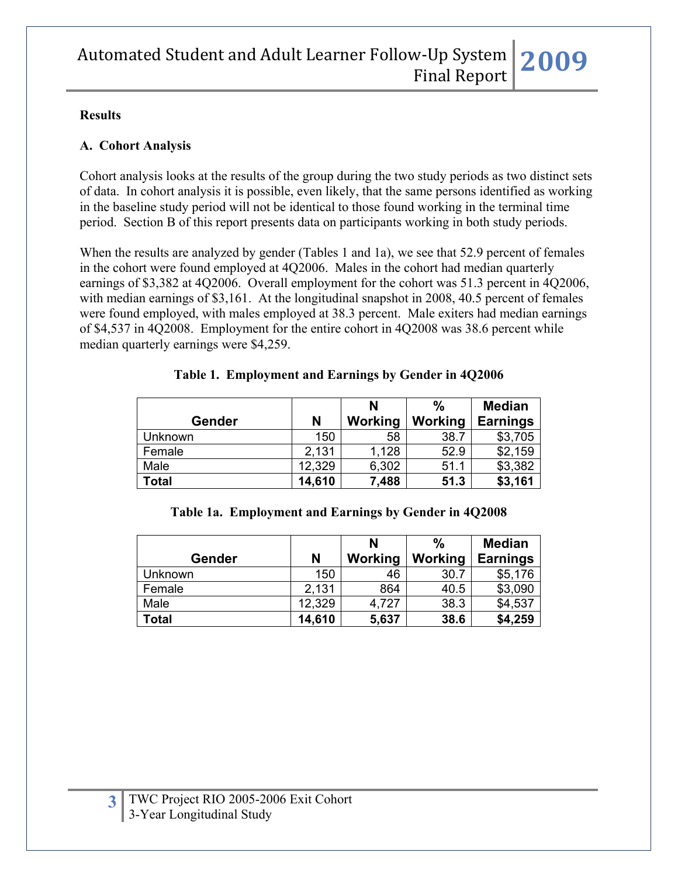#### **Results**

#### **A. Cohort Analysis**

Cohort analysis looks at the results of the group during the two study periods as two distinct sets of data. In cohort analysis it is possible, even likely, that the same persons identified as working in the baseline study period will not be identical to those found working in the terminal time period. Section B of this report presents data on participants working in both study periods.

When the results are analyzed by gender (Tables 1 and 1a), we see that 52.9 percent of females in the cohort were found employed at 4Q2006. Males in the cohort had median quarterly earnings of \$3,382 at 4Q2006. Overall employment for the cohort was 51.3 percent in 4Q2006, with median earnings of \$3,161. At the longitudinal snapshot in 2008, 40.5 percent of females were found employed, with males employed at 38.3 percent. Male exiters had median earnings of \$4,537 in 4Q2008. Employment for the entire cohort in 4Q2008 was 38.6 percent while median quarterly earnings were \$4,259.

|         |        | N       | $\frac{0}{0}$ | <b>Median</b>   |
|---------|--------|---------|---------------|-----------------|
| Gender  | N      | Working | Working       | <b>Earnings</b> |
| Unknown | 150    | 58      | 38.7          | \$3,705         |
| Female  | 2,131  | 1,128   | 52.9          | \$2,159         |
| Male    | 12,329 | 6,302   | 51.1          | \$3,382         |
| Total   | 14,610 | 7,488   | 51.3          | \$3,161         |

#### **Table 1a. Employment and Earnings by Gender in 4Q2008**

|               |        | N       | $\frac{0}{0}$ | <b>Median</b>   |
|---------------|--------|---------|---------------|-----------------|
| <b>Gender</b> | N      | Working | Working       | <b>Earnings</b> |
| Unknown       | 150    | 46      | 30.7          | \$5,176         |
| Female        | 2,131  | 864     | 40.5          | \$3,090         |
| Male          | 12,329 | 4,727   | 38.3          | \$4,537         |
| <b>Total</b>  | 14,610 | 5,637   | 38.6          | \$4,259         |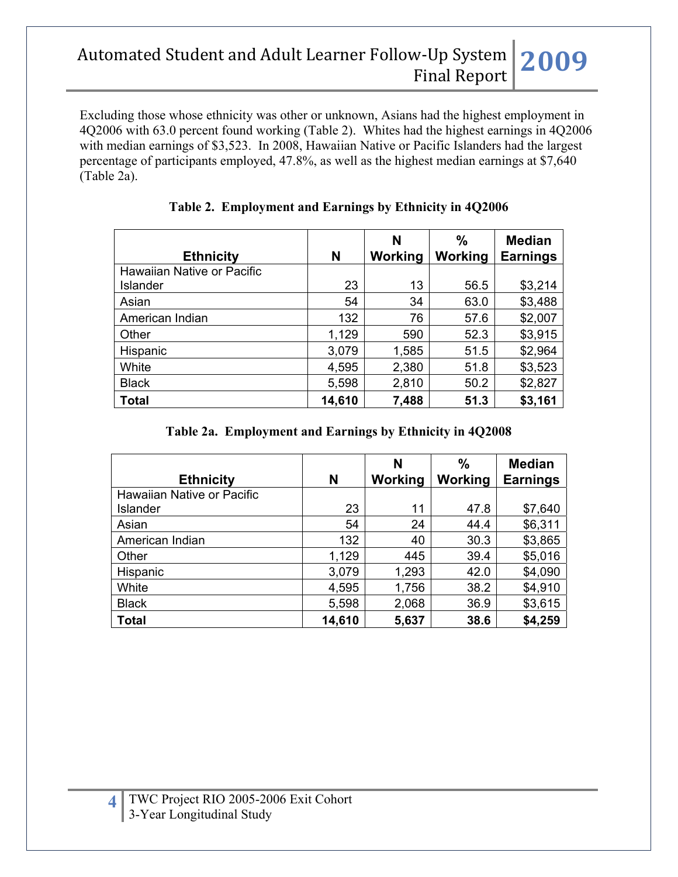Excluding those whose ethnicity was other or unknown, Asians had the highest employment in 4Q2006 with 63.0 percent found working (Table 2). Whites had the highest earnings in 4Q2006 with median earnings of \$3,523. In 2008, Hawaiian Native or Pacific Islanders had the largest percentage of participants employed, 47.8%, as well as the highest median earnings at \$7,640 (Table 2a).

| <b>Ethnicity</b>           | N      | N<br>Working | $\%$<br>Working | <b>Median</b><br><b>Earnings</b> |
|----------------------------|--------|--------------|-----------------|----------------------------------|
| Hawaiian Native or Pacific |        |              |                 |                                  |
| Islander                   | 23     | 13           | 56.5            | \$3,214                          |
| Asian                      | 54     | 34           | 63.0            | \$3,488                          |
| American Indian            | 132    | 76           | 57.6            | \$2,007                          |
| Other                      | 1,129  | 590          | 52.3            | \$3,915                          |
| Hispanic                   | 3,079  | 1,585        | 51.5            | \$2,964                          |
| White                      | 4,595  | 2,380        | 51.8            | \$3,523                          |
| <b>Black</b>               | 5,598  | 2,810        | 50.2            | \$2,827                          |
| <b>Total</b>               | 14,610 | 7,488        | 51.3            | \$3,161                          |

## **Table 2. Employment and Earnings by Ethnicity in 4Q2006**

### **Table 2a. Employment and Earnings by Ethnicity in 4Q2008**

| <b>Ethnicity</b>           | N      | N<br>Working | $\frac{0}{0}$<br>Working | <b>Median</b><br><b>Earnings</b> |
|----------------------------|--------|--------------|--------------------------|----------------------------------|
| Hawaiian Native or Pacific |        |              |                          |                                  |
| Islander                   | 23     | 11           | 47.8                     | \$7,640                          |
| Asian                      | 54     | 24           | 44.4                     | \$6,311                          |
| American Indian            | 132    | 40           | 30.3                     | \$3,865                          |
| Other                      | 1,129  | 445          | 39.4                     | \$5,016                          |
| Hispanic                   | 3,079  | 1,293        | 42.0                     | \$4,090                          |
| White                      | 4,595  | 1,756        | 38.2                     | \$4,910                          |
| <b>Black</b>               | 5,598  | 2,068        | 36.9                     | \$3,615                          |
| <b>Total</b>               | 14,610 | 5,637        | 38.6                     | \$4,259                          |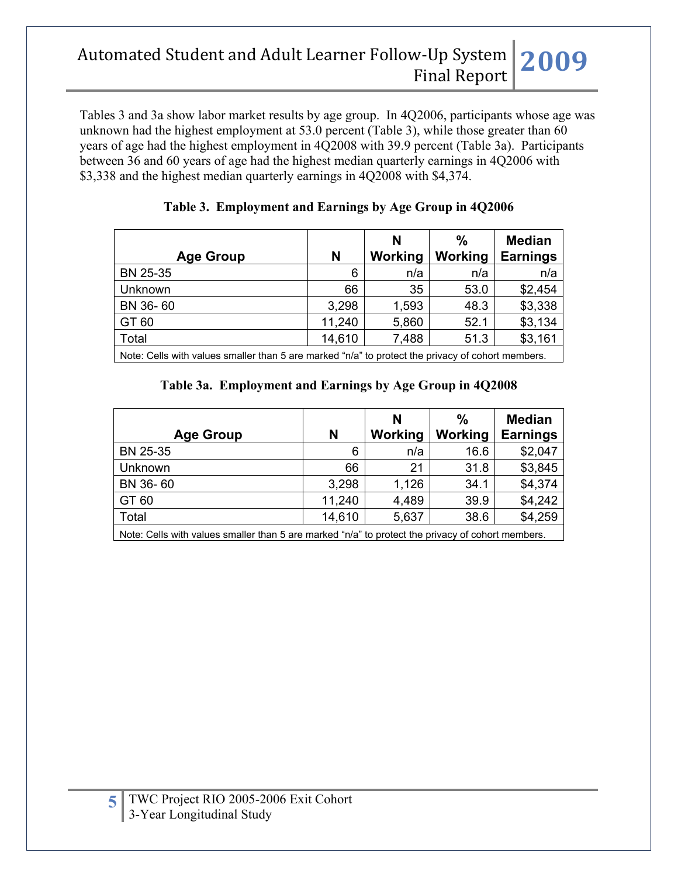Tables 3 and 3a show labor market results by age group. In 4Q2006, participants whose age was unknown had the highest employment at 53.0 percent (Table 3), while those greater than 60 years of age had the highest employment in 4Q2008 with 39.9 percent (Table 3a). Participants between 36 and 60 years of age had the highest median quarterly earnings in 4Q2006 with \$3,338 and the highest median quarterly earnings in 4Q2008 with \$4,374.

| <b>Age Group</b>                                                                                  | N      | N<br>Working | $\frac{0}{0}$<br>Working | <b>Median</b><br><b>Earnings</b> |
|---------------------------------------------------------------------------------------------------|--------|--------------|--------------------------|----------------------------------|
| BN 25-35                                                                                          | 6      | n/a          | n/a                      | n/a                              |
| <b>Unknown</b>                                                                                    | 66     | 35           | 53.0                     | \$2,454                          |
| BN 36-60                                                                                          | 3,298  | 1,593        | 48.3                     | \$3,338                          |
| GT 60                                                                                             | 11,240 | 5,860        | 52.1                     | \$3,134                          |
| Total                                                                                             | 14,610 | 7,488        | 51.3                     | \$3,161                          |
| Note: Cells with values smaller than 5 are marked "n/a" to protect the privacy of cohort members. |        |              |                          |                                  |

#### **Table 3. Employment and Earnings by Age Group in 4Q2006**

#### **Table 3a. Employment and Earnings by Age Group in 4Q2008**

|                  | N      | N<br>Working | %<br>Working         | <b>Median</b><br><b>Earnings</b> |
|------------------|--------|--------------|----------------------|----------------------------------|
| <b>Age Group</b> |        |              |                      |                                  |
| BN 25-35         | 6      | n/a          | 16.6                 | \$2,047                          |
| Unknown          | 66     | 21           | 31.8                 | \$3,845                          |
| BN 36-60         | 3,298  | 1,126        | 34.1                 | \$4,374                          |
| GT 60            | 11,240 | 4,489        | 39.9                 | \$4,242                          |
| Total            | 14,610 | 5,637        | 38.6                 | \$4,259                          |
| .                | .      |              | $\sim$ $\sim$ $\sim$ |                                  |

Note: Cells with values smaller than 5 are marked "n/a" to protect the privacy of cohort members.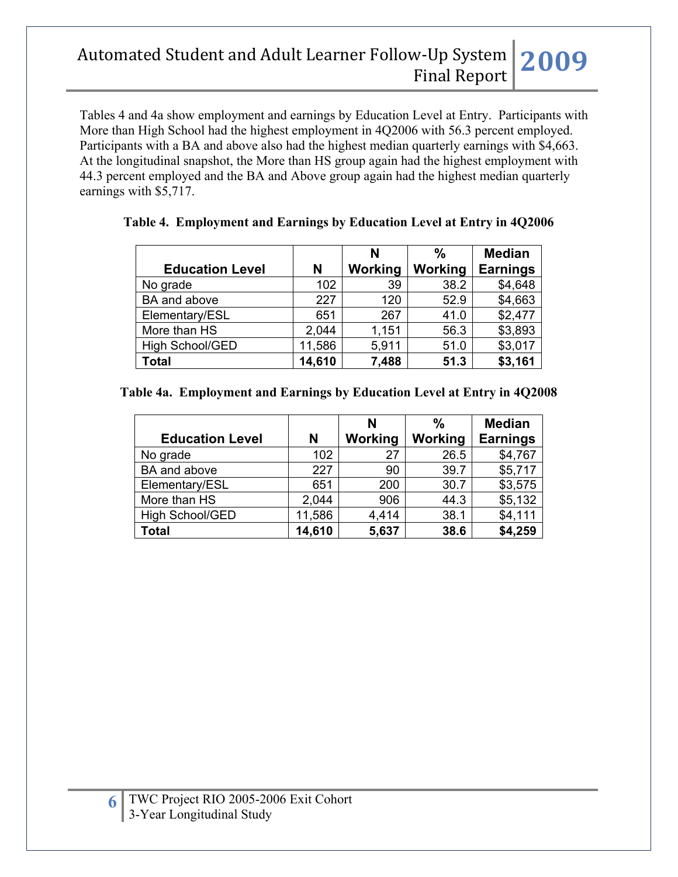Tables 4 and 4a show employment and earnings by Education Level at Entry. Participants with More than High School had the highest employment in 4Q2006 with 56.3 percent employed. Participants with a BA and above also had the highest median quarterly earnings with \$4,663. At the longitudinal snapshot, the More than HS group again had the highest employment with 44.3 percent employed and the BA and Above group again had the highest median quarterly earnings with \$5,717.

|                        |        | N       | %       | <b>Median</b>   |
|------------------------|--------|---------|---------|-----------------|
| <b>Education Level</b> | N      | Working | Working | <b>Earnings</b> |
| No grade               | 102    | 39      | 38.2    | \$4,648         |
| BA and above           | 227    | 120     | 52.9    | \$4,663         |
| Elementary/ESL         | 651    | 267     | 41.0    | \$2,477         |
| More than HS           | 2,044  | 1,151   | 56.3    | \$3,893         |
| <b>High School/GED</b> | 11,586 | 5,911   | 51.0    | \$3,017         |
| <b>Total</b>           | 14,610 | 7,488   | 51.3    | \$3,161         |

### **Table 4. Employment and Earnings by Education Level at Entry in 4Q2006**

#### **Table 4a. Employment and Earnings by Education Level at Entry in 4Q2008**

|                        |        | N       | $\frac{0}{0}$ | <b>Median</b>   |
|------------------------|--------|---------|---------------|-----------------|
| <b>Education Level</b> | N      | Working | Working       | <b>Earnings</b> |
| No grade               | 102    | 27      | 26.5          | \$4,767         |
| BA and above           | 227    | 90      | 39.7          | \$5,717         |
| Elementary/ESL         | 651    | 200     | 30.7          | \$3,575         |
| More than HS           | 2,044  | 906     | 44.3          | \$5,132         |
| High School/GED        | 11,586 | 4,414   | 38.1          | \$4,111         |
| <b>Total</b>           | 14,610 | 5,637   | 38.6          | \$4,259         |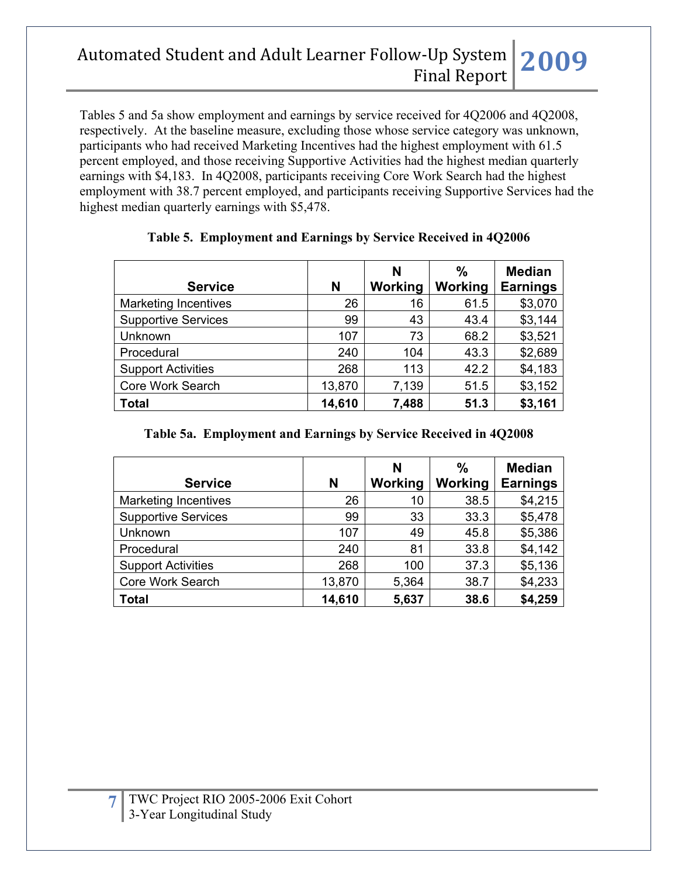Tables 5 and 5a show employment and earnings by service received for 4Q2006 and 4Q2008, respectively. At the baseline measure, excluding those whose service category was unknown, participants who had received Marketing Incentives had the highest employment with 61.5 percent employed, and those receiving Supportive Activities had the highest median quarterly earnings with \$4,183. In 4Q2008, participants receiving Core Work Search had the highest employment with 38.7 percent employed, and participants receiving Supportive Services had the highest median quarterly earnings with \$5,478.

| <b>Service</b>              | N      | N<br>Working | $\frac{0}{0}$<br>Working | <b>Median</b><br><b>Earnings</b> |
|-----------------------------|--------|--------------|--------------------------|----------------------------------|
| <b>Marketing Incentives</b> | 26     | 16           | 61.5                     | \$3,070                          |
| <b>Supportive Services</b>  | 99     | 43           | 43.4                     | \$3,144                          |
| Unknown                     | 107    | 73           | 68.2                     | \$3,521                          |
| Procedural                  | 240    | 104          | 43.3                     | \$2,689                          |
| <b>Support Activities</b>   | 268    | 113          | 42.2                     | \$4,183                          |
| Core Work Search            | 13,870 | 7,139        | 51.5                     | \$3,152                          |
| <b>Total</b>                | 14,610 | 7,488        | 51.3                     | \$3,161                          |

## **Table 5. Employment and Earnings by Service Received in 4Q2006**

### **Table 5a. Employment and Earnings by Service Received in 4Q2008**

| <b>Service</b>              | N      | N<br>Working | $\frac{0}{0}$<br>Working | <b>Median</b><br><b>Earnings</b> |
|-----------------------------|--------|--------------|--------------------------|----------------------------------|
| <b>Marketing Incentives</b> | 26     | 10           | 38.5                     | \$4,215                          |
| <b>Supportive Services</b>  | 99     | 33           | 33.3                     | \$5,478                          |
| Unknown                     | 107    | 49           | 45.8                     | \$5,386                          |
| Procedural                  | 240    | 81           | 33.8                     | \$4,142                          |
| <b>Support Activities</b>   | 268    | 100          | 37.3                     | \$5,136                          |
| Core Work Search            | 13,870 | 5,364        | 38.7                     | \$4,233                          |
| <b>Total</b>                | 14,610 | 5,637        | 38.6                     | \$4,259                          |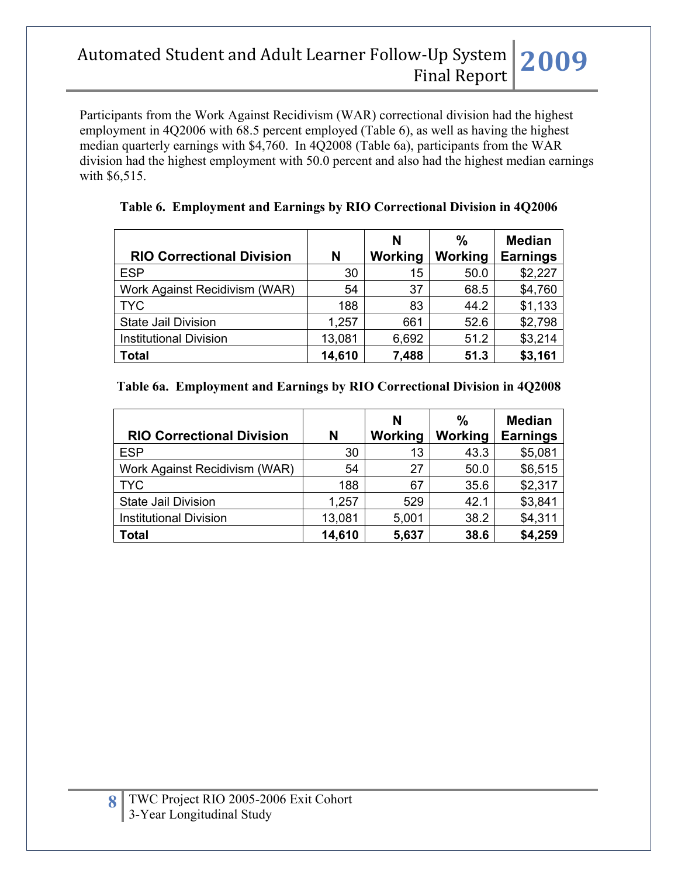Participants from the Work Against Recidivism (WAR) correctional division had the highest employment in 4Q2006 with 68.5 percent employed (Table 6), as well as having the highest median quarterly earnings with \$4,760. In 4Q2008 (Table 6a), participants from the WAR division had the highest employment with 50.0 percent and also had the highest median earnings with \$6,515.

| <b>RIO Correctional Division</b> | N      | N<br>Working | %<br>Working | <b>Median</b><br><b>Earnings</b> |
|----------------------------------|--------|--------------|--------------|----------------------------------|
| <b>ESP</b>                       | 30     | 15           | 50.0         | \$2,227                          |
| Work Against Recidivism (WAR)    | 54     | 37           | 68.5         | \$4,760                          |
| <b>TYC</b>                       | 188    | 83           | 44.2         | \$1,133                          |
| <b>State Jail Division</b>       | 1,257  | 661          | 52.6         | \$2,798                          |
| <b>Institutional Division</b>    | 13,081 | 6,692        | 51.2         | \$3,214                          |
| <b>Total</b>                     | 14,610 | 7,488        | 51.3         | \$3,161                          |

### **Table 6. Employment and Earnings by RIO Correctional Division in 4Q2006**

#### **Table 6a. Employment and Earnings by RIO Correctional Division in 4Q2008**

| <b>RIO Correctional Division</b> | N      | N<br>Working | %<br>Working | <b>Median</b><br><b>Earnings</b> |
|----------------------------------|--------|--------------|--------------|----------------------------------|
| <b>ESP</b>                       | 30     | 13           | 43.3         | \$5,081                          |
| Work Against Recidivism (WAR)    | 54     | 27           | 50.0         | \$6,515                          |
| <b>TYC</b>                       | 188    | 67           | 35.6         | \$2,317                          |
| <b>State Jail Division</b>       | 1,257  | 529          | 42.1         | \$3,841                          |
| <b>Institutional Division</b>    | 13,081 | 5,001        | 38.2         | \$4,311                          |
| <b>Total</b>                     | 14,610 | 5,637        | 38.6         | \$4,259                          |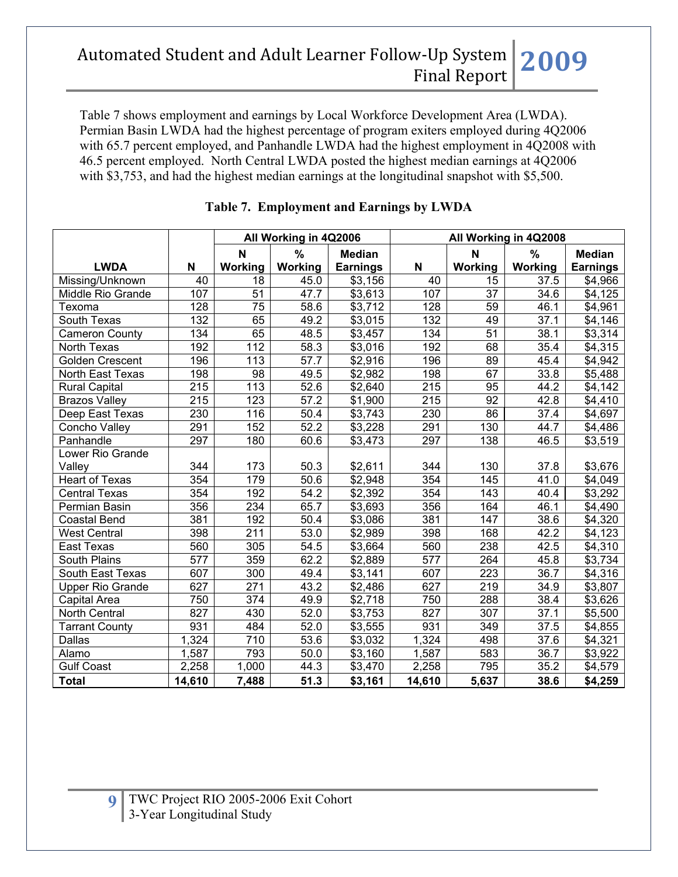Table 7 shows employment and earnings by Local Workforce Development Area (LWDA). Permian Basin LWDA had the highest percentage of program exiters employed during 4Q2006 with 65.7 percent employed, and Panhandle LWDA had the highest employment in 4Q2008 with 46.5 percent employed. North Central LWDA posted the highest median earnings at 4Q2006 with \$3,753, and had the highest median earnings at the longitudinal snapshot with \$5,500.

|                         |                  |                  | All Working in 4Q2006 |                     |                  |                 | All Working in 4Q2008 |                 |
|-------------------------|------------------|------------------|-----------------------|---------------------|------------------|-----------------|-----------------------|-----------------|
|                         |                  | N                | %                     | <b>Median</b>       |                  | N               | $\frac{0}{0}$         | <b>Median</b>   |
| <b>LWDA</b>             | N                | Working          | Working               | <b>Earnings</b>     | N                | Working         | Working               | <b>Earnings</b> |
| Missing/Unknown         | 40               | 18               | 45.0                  | \$3,156             | 40               | 15              | 37.5                  | \$4,966         |
| Middle Rio Grande       | 107              | 51               | 47.7                  | \$3,613             | 107              | 37              | 34.6                  | \$4,125         |
| Texoma                  | 128              | $\overline{75}$  | $\overline{58.6}$     | \$3,712             | 128              | $\overline{59}$ | 46.1                  | \$4,961         |
| South Texas             | 132              | 65               | 49.2                  | \$3,015             | 132              | 49              | 37.1                  | \$4,146         |
| <b>Cameron County</b>   | 134              | 65               | 48.5                  | \$3,457             | 134              | $\overline{51}$ | 38.1                  | \$3,314         |
| North Texas             | 192              | $\overline{112}$ | 58.3                  | \$3,016             | 192              | 68              | 35.4                  | \$4,315         |
| <b>Golden Crescent</b>  | 196              | 113              | 57.7                  | \$2,916             | 196              | $\overline{89}$ | 45.4                  | \$4,942         |
| North East Texas        | 198              | 98               | 49.5                  | \$2,982             | 198              | 67              | 33.8                  | \$5,488         |
| <b>Rural Capital</b>    | 215              | 113              | 52.6                  | \$2,640             | 215              | 95              | 44.2                  | \$4,142         |
| <b>Brazos Valley</b>    | 215              | 123              | $\overline{57.2}$     | \$1,900             | 215              | 92              | 42.8                  | \$4,410         |
| Deep East Texas         | 230              | 116              | 50.4                  | \$3,743             | 230              | 86              | 37.4                  | \$4,697         |
| Concho Valley           | 291              | 152              | 52.2                  | \$3,228             | 291              | 130             | 44.7                  | \$4,486         |
| Panhandle               | 297              | 180              | 60.6                  | \$3,473             | 297              | 138             | 46.5                  | \$3,519         |
| Lower Rio Grande        |                  |                  |                       |                     |                  |                 |                       |                 |
| Valley                  | 344              | 173              | 50.3                  | \$2,611             | 344              | 130             | 37.8                  | \$3,676         |
| <b>Heart of Texas</b>   | 354              | 179              | 50.6                  | \$2,948             | 354              | 145             | 41.0                  | \$4,049         |
| <b>Central Texas</b>    | 354              | 192              | 54.2                  | \$2,392             | 354              | 143             | 40.4                  | \$3,292         |
| Permian Basin           | 356              | 234              | 65.7                  | \$3,693             | 356              | 164             | 46.1                  | \$4,490         |
| <b>Coastal Bend</b>     | 381              | 192              | 50.4                  | \$3,086             | 381              | 147             | 38.6                  | \$4,320         |
| <b>West Central</b>     | 398              | 211              | 53.0                  | \$2,989             | 398              | 168             | 42.2                  | \$4,123         |
| <b>East Texas</b>       | 560              | 305              | 54.5                  | \$3,664             | 560              | 238             | 42.5                  | \$4,310         |
| South Plains            | 577              | 359              | 62.2                  | \$2,889             | 577              | 264             | 45.8                  | \$3,734         |
| South East Texas        | 607              | 300              | 49.4                  | \$3,141             | 607              | 223             | 36.7                  | \$4,316         |
| <b>Upper Rio Grande</b> | 627              | 271              | 43.2                  | $\overline{$}2,486$ | 627              | 219             | 34.9                  | \$3,807         |
| Capital Area            | 750              | $\overline{374}$ | 49.9                  | \$2,718             | 750              | 288             | 38.4                  | \$3,626         |
| North Central           | $\overline{827}$ | 430              | 52.0                  | \$3,753             | $\overline{827}$ | 307             | 37.1                  | \$5,500         |
| <b>Tarrant County</b>   | 931              | 484              | 52.0                  | \$3,555             | 931              | 349             | 37.5                  | \$4,855         |
| Dallas                  | 1,324            | 710              | 53.6                  | \$3,032             | 1,324            | 498             | 37.6                  | \$4,321         |
| Alamo                   | 1,587            | 793              | 50.0                  | \$3,160             | 1,587            | 583             | 36.7                  | \$3,922         |
| <b>Gulf Coast</b>       | 2,258            | 1,000            | 44.3                  | \$3,470             | 2,258            | 795             | 35.2                  | \$4,579         |
| <b>Total</b>            | 14,610           | 7,488            | 51.3                  | \$3,161             | 14,610           | 5,637           | 38.6                  | \$4,259         |

### **Table 7. Employment and Earnings by LWDA**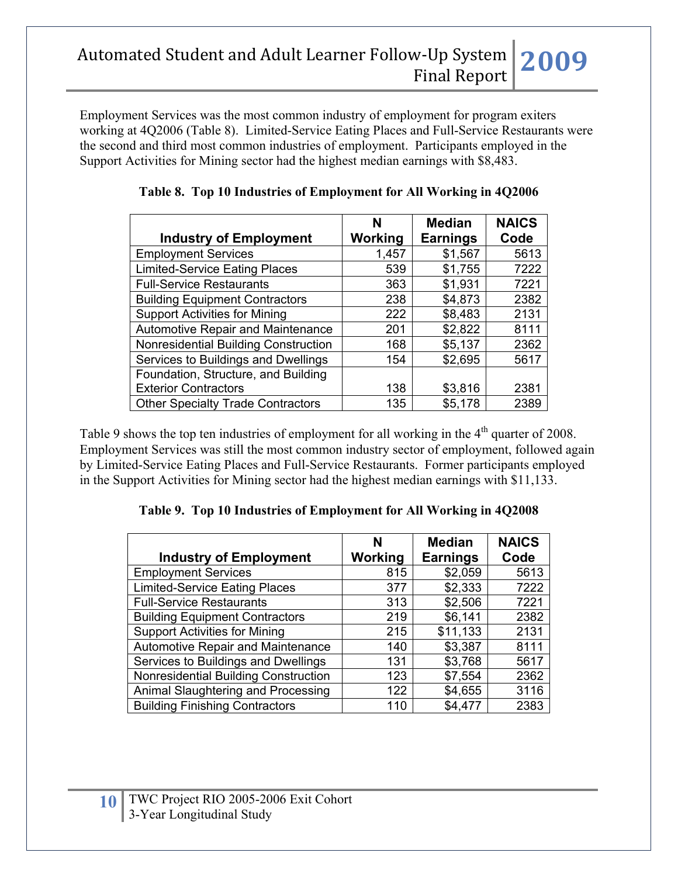Employment Services was the most common industry of employment for program exiters working at 4Q2006 (Table 8). Limited-Service Eating Places and Full-Service Restaurants were the second and third most common industries of employment. Participants employed in the Support Activities for Mining sector had the highest median earnings with \$8,483.

| <b>Industry of Employment</b>            | N<br>Working | <b>Median</b><br><b>Earnings</b> | <b>NAICS</b><br>Code |
|------------------------------------------|--------------|----------------------------------|----------------------|
| <b>Employment Services</b>               | 1,457        | \$1,567                          | 5613                 |
| <b>Limited-Service Eating Places</b>     | 539          | \$1,755                          | 7222                 |
| <b>Full-Service Restaurants</b>          | 363          | \$1,931                          | 7221                 |
| <b>Building Equipment Contractors</b>    | 238          | \$4,873                          | 2382                 |
| <b>Support Activities for Mining</b>     | 222          | \$8,483                          | 2131                 |
| <b>Automotive Repair and Maintenance</b> | 201          | \$2,822                          | 8111                 |
| Nonresidential Building Construction     | 168          | \$5,137                          | 2362                 |
| Services to Buildings and Dwellings      | 154          | \$2,695                          | 5617                 |
| Foundation, Structure, and Building      |              |                                  |                      |
| <b>Exterior Contractors</b>              | 138          | \$3,816                          | 2381                 |
| <b>Other Specialty Trade Contractors</b> | 135          | \$5,178                          | 2389                 |

**Table 8. Top 10 Industries of Employment for All Working in 4Q2006**

Table 9 shows the top ten industries of employment for all working in the  $4<sup>th</sup>$  quarter of 2008. Employment Services was still the most common industry sector of employment, followed again by Limited-Service Eating Places and Full-Service Restaurants. Former participants employed in the Support Activities for Mining sector had the highest median earnings with \$11,133.

### **Table 9. Top 10 Industries of Employment for All Working in 4Q2008**

|                                          | N       | <b>Median</b>   | <b>NAICS</b> |
|------------------------------------------|---------|-----------------|--------------|
| <b>Industry of Employment</b>            | Working | <b>Earnings</b> | Code         |
| <b>Employment Services</b>               | 815     | \$2,059         | 5613         |
| <b>Limited-Service Eating Places</b>     | 377     | \$2,333         | 7222         |
| <b>Full-Service Restaurants</b>          | 313     | \$2,506         | 7221         |
| <b>Building Equipment Contractors</b>    | 219     | \$6,141         | 2382         |
| <b>Support Activities for Mining</b>     | 215     | \$11,133        | 2131         |
| <b>Automotive Repair and Maintenance</b> | 140     | \$3,387         | 8111         |
| Services to Buildings and Dwellings      | 131     | \$3,768         | 5617         |
| Nonresidential Building Construction     | 123     | \$7,554         | 2362         |
| Animal Slaughtering and Processing       | 122     | \$4,655         | 3116         |
| <b>Building Finishing Contractors</b>    | 110     | \$4,477         | 2383         |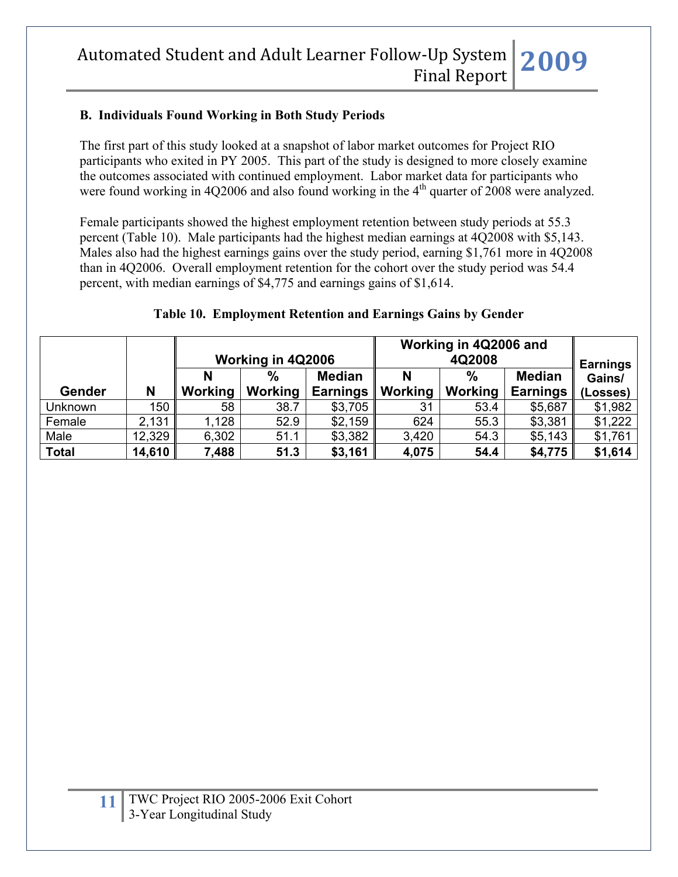### **B. Individuals Found Working in Both Study Periods**

The first part of this study looked at a snapshot of labor market outcomes for Project RIO participants who exited in PY 2005. This part of the study is designed to more closely examine the outcomes associated with continued employment. Labor market data for participants who were found working in 4Q2006 and also found working in the  $4<sup>th</sup>$  quarter of 2008 were analyzed.

Female participants showed the highest employment retention between study periods at 55.3 percent (Table 10). Male participants had the highest median earnings at 4Q2008 with \$5,143. Males also had the highest earnings gains over the study period, earning \$1,761 more in 4Q2008 than in 4Q2006. Overall employment retention for the cohort over the study period was 54.4 percent, with median earnings of \$4,775 and earnings gains of \$1,614.

#### **Table 10. Employment Retention and Earnings Gains by Gender**

|               |        | Working in 4Q2006 |         |                 | Working in 4Q2006 and | <b>Earnings</b> |                 |          |
|---------------|--------|-------------------|---------|-----------------|-----------------------|-----------------|-----------------|----------|
|               |        |                   | %       | <b>Median</b>   | N                     | $\frac{0}{0}$   | <b>Median</b>   | Gains/   |
| <b>Gender</b> | N      | <b>Working</b>    | Working | <b>Earnings</b> | Working               | <b>Working</b>  | <b>Earnings</b> | (Losses) |
| Unknown       | 150    | 58                | 38.7    | \$3,705         | 31                    | 53.4            | \$5,687         | \$1,982  |
| Female        | 2,131  | 1,128             | 52.9    | \$2,159         | 624                   | 55.3            | \$3,381         | \$1,222  |
| Male          | 12,329 | 6,302             | 51.1    | \$3,382         | 3,420                 | 54.3            | \$5,143         | \$1,761  |
| <b>Total</b>  | 14,610 | 7,488             | 51.3    | \$3,161         | 4,075                 | 54.4            | \$4,775         | \$1,614  |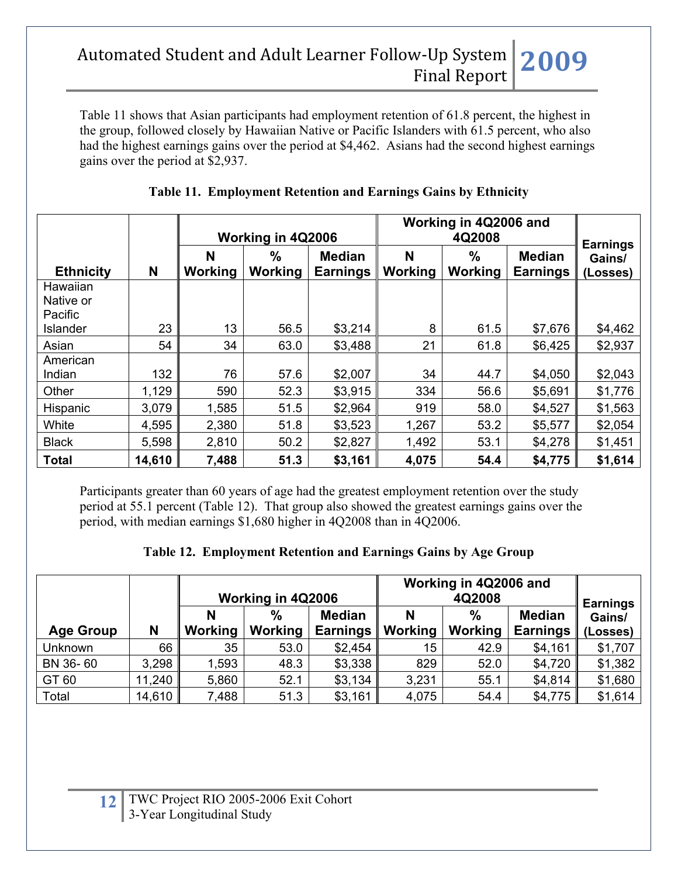Table 11 shows that Asian participants had employment retention of 61.8 percent, the highest in the group, followed closely by Hawaiian Native or Pacific Islanders with 61.5 percent, who also had the highest earnings gains over the period at \$4,462. Asians had the second highest earnings gains over the period at \$2,937.

|                                  |        |                     | Working in 4Q2006 |                                  |                     | Working in 4Q2006 and<br>4Q2008 |                                  |                                       |  |
|----------------------------------|--------|---------------------|-------------------|----------------------------------|---------------------|---------------------------------|----------------------------------|---------------------------------------|--|
| <b>Ethnicity</b>                 | N      | N<br><b>Working</b> | $\%$<br>Working   | <b>Median</b><br><b>Earnings</b> | N<br><b>Working</b> | $\frac{0}{0}$<br>Working        | <b>Median</b><br><b>Earnings</b> | <b>Earnings</b><br>Gains/<br>(Losses) |  |
| Hawaiian<br>Native or<br>Pacific |        |                     |                   |                                  |                     |                                 |                                  |                                       |  |
| Islander                         | 23     | 13                  | 56.5              | \$3,214                          | 8                   | 61.5                            | \$7,676                          | \$4,462                               |  |
| Asian                            | 54     | 34                  | 63.0              | \$3,488                          | 21                  | 61.8                            | \$6,425                          | \$2,937                               |  |
| American<br>Indian               | 132    | 76                  | 57.6              | \$2,007                          | 34                  | 44.7                            | \$4,050                          | \$2,043                               |  |
| Other                            | 1,129  | 590                 | 52.3              | \$3,915                          | 334                 | 56.6                            | \$5,691                          | \$1,776                               |  |
| Hispanic                         | 3,079  | 1,585               | 51.5              | \$2,964                          | 919                 | 58.0                            | \$4,527                          | \$1,563                               |  |
| White                            | 4,595  | 2,380               | 51.8              | \$3,523                          | 1,267               | 53.2                            | \$5,577                          | \$2,054                               |  |
| <b>Black</b>                     | 5,598  | 2,810               | 50.2              | \$2,827                          | 1,492               | 53.1                            | \$4,278                          | \$1,451                               |  |
| <b>Total</b>                     | 14,610 | 7,488               | 51.3              | \$3,161                          | 4,075               | 54.4                            | \$4,775                          | \$1,614                               |  |

## **Table 11. Employment Retention and Earnings Gains by Ethnicity**

Participants greater than 60 years of age had the greatest employment retention over the study period at 55.1 percent (Table 12). That group also showed the greatest earnings gains over the period, with median earnings \$1,680 higher in 4Q2008 than in 4Q2006.

|  |  | Table 12. Employment Retention and Earnings Gains by Age Group |  |  |  |
|--|--|----------------------------------------------------------------|--|--|--|
|--|--|----------------------------------------------------------------|--|--|--|

|                  |        | Working in 4Q2006 |                 |                                  | Working in 4Q2006 and | <b>Earnings</b> |                                  |                    |
|------------------|--------|-------------------|-----------------|----------------------------------|-----------------------|-----------------|----------------------------------|--------------------|
| <b>Age Group</b> | N      | N<br>Working      | $\%$<br>Working | <b>Median</b><br><b>Earnings</b> | N<br>Working          | $\%$<br>Working | <b>Median</b><br><b>Earnings</b> | Gains/<br>(Losses) |
| Unknown          | 66     | 35                | 53.0            | \$2,454                          | 15 <sub>1</sub>       | 42.9            | \$4,161                          | \$1,707            |
| BN 36-60         | 3,298  | 1,593             | 48.3            | \$3,338                          | 829                   | 52.0            | \$4,720                          | \$1,382            |
| GT 60            | 11,240 | 5,860             | 52.1            | \$3,134                          | 3,231                 | 55.1            | \$4,814                          | \$1,680            |
| Total            | 14,610 | 7,488             | 51.3            | \$3,161                          | 4,075                 | 54.4            | \$4,775                          | \$1,614            |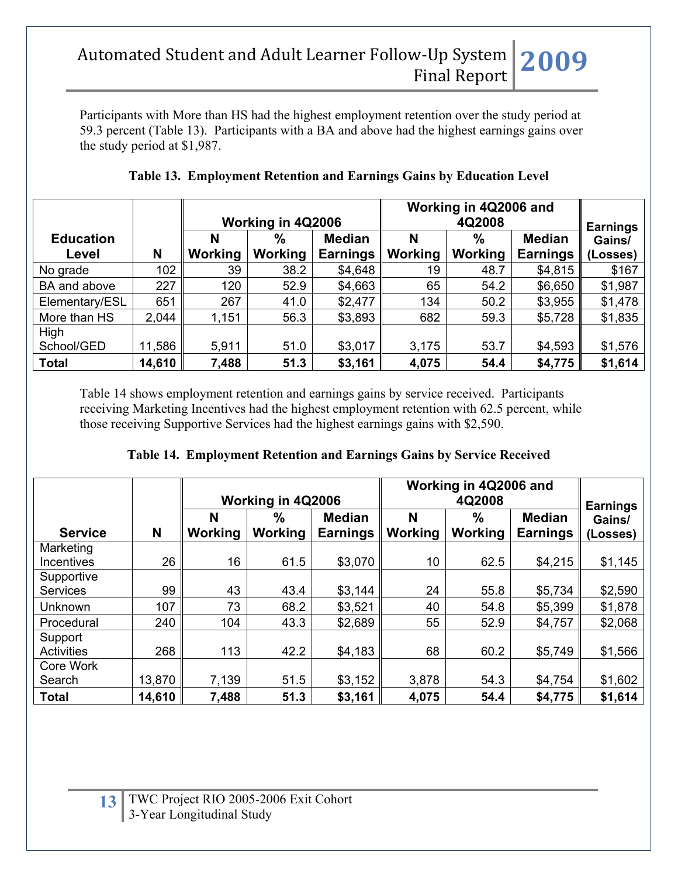Participants with More than HS had the highest employment retention over the study period at 59.3 percent (Table 13). Participants with a BA and above had the highest earnings gains over the study period at \$1,987.

|                  |        |         | Working in 4Q2006 |                 |                | Working in 4Q2006 and<br>4Q2008 |                 |                           |  |
|------------------|--------|---------|-------------------|-----------------|----------------|---------------------------------|-----------------|---------------------------|--|
| <b>Education</b> |        | N       | $\frac{0}{0}$     | <b>Median</b>   | N              | $\%$                            | <b>Median</b>   | <b>Earnings</b><br>Gains/ |  |
| Level            | N      | Working | Working           | <b>Earnings</b> | <b>Working</b> | Working                         | <b>Earnings</b> | (Losses)                  |  |
| No grade         | 102    | 39      | 38.2              | \$4,648         | 19             | 48.7                            | \$4,815         | \$167                     |  |
| BA and above     | 227    | 120     | 52.9              | \$4,663         | 65             | 54.2                            | \$6,650         | \$1,987                   |  |
| Elementary/ESL   | 651    | 267     | 41.0              | \$2,477         | 134            | 50.2                            | \$3,955         | \$1,478                   |  |
| More than HS     | 2,044  | 1,151   | 56.3              | \$3,893         | 682            | 59.3                            | \$5,728         | \$1,835                   |  |
| High             |        |         |                   |                 |                |                                 |                 |                           |  |
| School/GED       | 11,586 | 5,911   | 51.0              | \$3,017         | 3,175          | 53.7                            | \$4,593         | \$1,576                   |  |
| <b>Total</b>     | 14,610 | 7,488   | 51.3              | \$3,161         | 4,075          | 54.4                            | \$4,775         | \$1,614                   |  |

**Table 13. Employment Retention and Earnings Gains by Education Level**

Table 14 shows employment retention and earnings gains by service received. Participants receiving Marketing Incentives had the highest employment retention with 62.5 percent, while those receiving Supportive Services had the highest earnings gains with \$2,590.

| Table 14. Employment Retention and Earnings Gains by Service Received |  |  |  |
|-----------------------------------------------------------------------|--|--|--|
|                                                                       |  |  |  |

|                               |        |                     | Working in 4Q2006 |                                  |              | Working in 4Q2006 and<br>4Q2008 |                                  |                                       |  |
|-------------------------------|--------|---------------------|-------------------|----------------------------------|--------------|---------------------------------|----------------------------------|---------------------------------------|--|
| <b>Service</b>                | N      | N<br><b>Working</b> | $\%$<br>Working   | <b>Median</b><br><b>Earnings</b> | N<br>Working | $\%$<br>Working                 | <b>Median</b><br><b>Earnings</b> | <b>Earnings</b><br>Gains/<br>(Losses) |  |
| Marketing<br>Incentives       | 26     | 16                  | 61.5              | \$3,070                          | 10           | 62.5                            | \$4,215                          | \$1,145                               |  |
| Supportive<br><b>Services</b> | 99     | 43                  | 43.4              | \$3,144                          | 24           | 55.8                            | \$5,734                          | \$2,590                               |  |
| <b>Unknown</b>                | 107    | 73                  | 68.2              | \$3,521                          | 40           | 54.8                            | \$5,399                          | \$1,878                               |  |
| Procedural                    | 240    | 104                 | 43.3              | \$2,689                          | 55           | 52.9                            | \$4,757                          | \$2,068                               |  |
| Support<br><b>Activities</b>  | 268    | 113                 | 42.2              | \$4,183                          | 68           | 60.2                            | \$5,749                          | \$1,566                               |  |
| Core Work                     |        |                     |                   |                                  |              |                                 |                                  |                                       |  |
| Search                        | 13,870 | 7,139               | 51.5              | \$3,152                          | 3,878        | 54.3                            | \$4,754                          | \$1,602                               |  |
| <b>Total</b>                  | 14,610 | 7,488               | 51.3              | \$3,161                          | 4,075        | 54.4                            | \$4,775                          | \$1,614                               |  |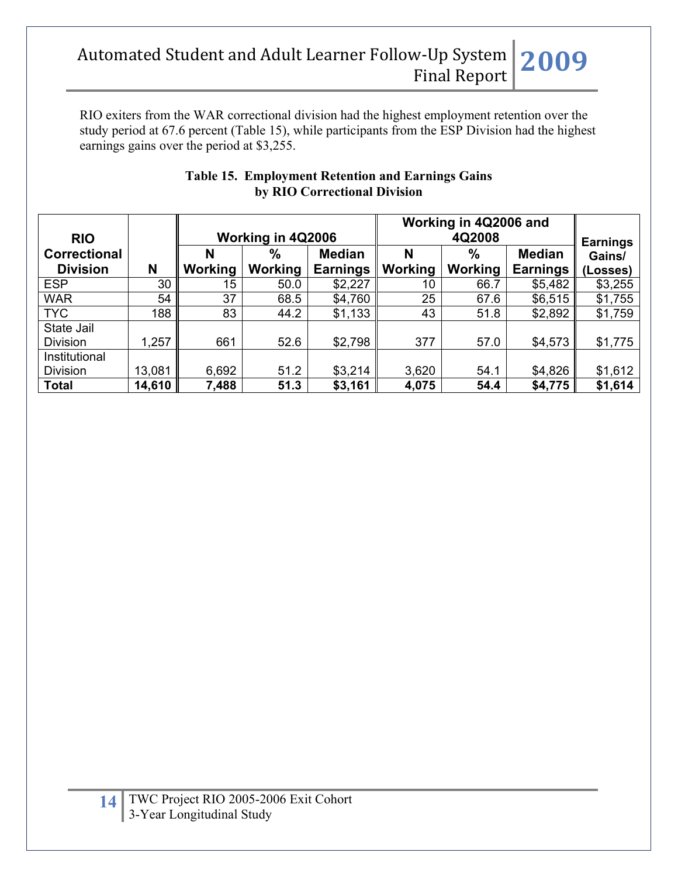RIO exiters from the WAR correctional division had the highest employment retention over the study period at 67.6 percent (Table 15), while participants from the ESP Division had the highest earnings gains over the period at \$3,255.

| <b>RIO</b>          |        |                | Working in 4Q2006 |                 |         | Working in 4Q2006 and<br>4Q2008 |                 |                           |  |
|---------------------|--------|----------------|-------------------|-----------------|---------|---------------------------------|-----------------|---------------------------|--|
| <b>Correctional</b> |        | N              | $\%$              | <b>Median</b>   | N       | $\%$                            | <b>Median</b>   | <b>Earnings</b><br>Gains/ |  |
| <b>Division</b>     | N      | <b>Working</b> | Working           | <b>Earnings</b> | Working | Working                         | <b>Earnings</b> | (Losses)                  |  |
| <b>ESP</b>          | 30     | 15             | 50.0              | \$2,227         | 10      | 66.7                            | \$5,482         | \$3,255                   |  |
| <b>WAR</b>          | 54     | 37             | 68.5              | \$4,760         | 25      | 67.6                            | \$6,515         | \$1,755                   |  |
| <b>TYC</b>          | 188    | 83             | 44.2              | \$1,133         | 43      | 51.8                            | \$2,892         | \$1,759                   |  |
| State Jail          |        |                |                   |                 |         |                                 |                 |                           |  |
| <b>Division</b>     | 1,257  | 661            | 52.6              | \$2,798         | 377     | 57.0                            | \$4,573         | \$1,775                   |  |
| Institutional       |        |                |                   |                 |         |                                 |                 |                           |  |
| <b>Division</b>     | 13,081 | 6,692          | 51.2              | \$3,214         | 3,620   | 54.1                            | \$4,826         | \$1,612                   |  |
| <b>Total</b>        | 14,610 | 7,488          | 51.3              | \$3,161         | 4,075   | 54.4                            | \$4,775         | \$1,614                   |  |

### **Table 15. Employment Retention and Earnings Gains by RIO Correctional Division**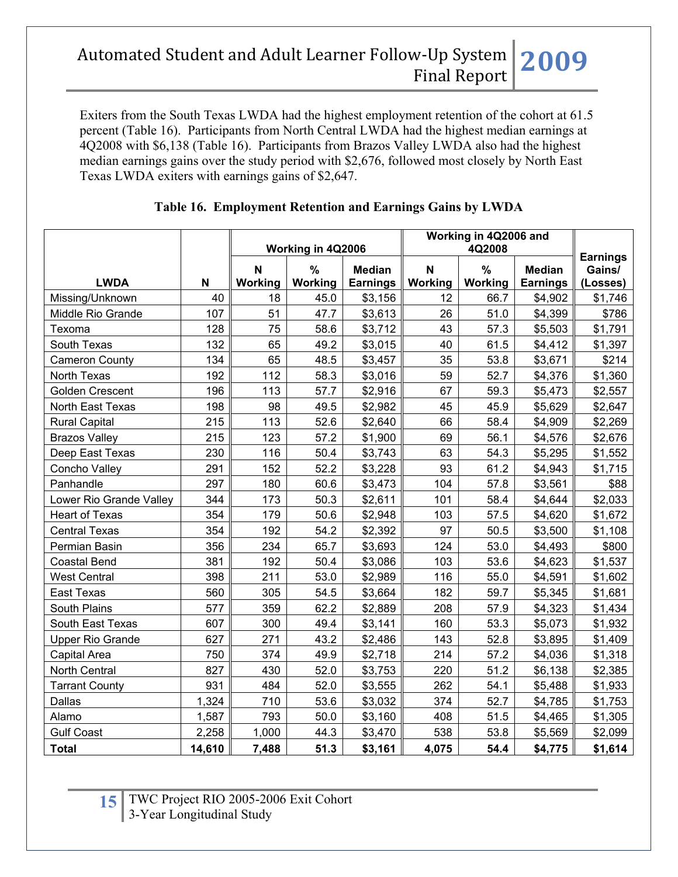Exiters from the South Texas LWDA had the highest employment retention of the cohort at 61.5 percent (Table 16). Participants from North Central LWDA had the highest median earnings at 4Q2008 with \$6,138 (Table 16). Participants from Brazos Valley LWDA also had the highest median earnings gains over the study period with \$2,676, followed most closely by North East Texas LWDA exiters with earnings gains of \$2,647.

|                         |        |              | Working in 4Q2006        |                                  | Working in 4Q2006 and<br>4Q2008 |                                 | <b>Earnings</b>                  |                    |
|-------------------------|--------|--------------|--------------------------|----------------------------------|---------------------------------|---------------------------------|----------------------------------|--------------------|
| <b>LWDA</b>             | N      | N<br>Working | $\frac{0}{0}$<br>Working | <b>Median</b><br><b>Earnings</b> | N<br>Working                    | $\frac{9}{6}$<br><b>Working</b> | <b>Median</b><br><b>Earnings</b> | Gains/<br>(Losses) |
| Missing/Unknown         | 40     | 18           | 45.0                     | \$3,156                          | 12                              | 66.7                            | \$4,902                          | \$1,746            |
| Middle Rio Grande       | 107    | 51           | 47.7                     | \$3,613                          | 26                              | 51.0                            | \$4,399                          | \$786              |
| Texoma                  | 128    | 75           | 58.6                     | \$3,712                          | 43                              | 57.3                            | \$5,503                          | \$1,791            |
| South Texas             | 132    | 65           | 49.2                     | \$3,015                          | 40                              | 61.5                            | \$4,412                          | \$1,397            |
| <b>Cameron County</b>   | 134    | 65           | 48.5                     | \$3,457                          | 35                              | 53.8                            | \$3,671                          | \$214              |
| North Texas             | 192    | 112          | 58.3                     | \$3,016                          | 59                              | 52.7                            | \$4,376                          | \$1,360            |
| <b>Golden Crescent</b>  | 196    | 113          | 57.7                     | \$2,916                          | 67                              | 59.3                            | \$5,473                          | \$2,557            |
| North East Texas        | 198    | 98           | 49.5                     | \$2,982                          | 45                              | 45.9                            | \$5,629                          | \$2,647            |
| <b>Rural Capital</b>    | 215    | 113          | 52.6                     | \$2,640                          | 66                              | 58.4                            | \$4,909                          | \$2,269            |
| <b>Brazos Valley</b>    | 215    | 123          | 57.2                     | \$1,900                          | 69                              | 56.1                            | \$4,576                          | \$2,676            |
| Deep East Texas         | 230    | 116          | 50.4                     | \$3,743                          | 63                              | 54.3                            | \$5,295                          | \$1,552            |
| Concho Valley           | 291    | 152          | 52.2                     | \$3,228                          | 93                              | 61.2                            | \$4,943                          | \$1,715            |
| Panhandle               | 297    | 180          | 60.6                     | \$3,473                          | 104                             | 57.8                            | \$3,561                          | \$88               |
| Lower Rio Grande Valley | 344    | 173          | 50.3                     | \$2,611                          | 101                             | 58.4                            | \$4,644                          | \$2,033            |
| <b>Heart of Texas</b>   | 354    | 179          | 50.6                     | \$2,948                          | 103                             | 57.5                            | \$4,620                          | \$1,672            |
| <b>Central Texas</b>    | 354    | 192          | 54.2                     | \$2,392                          | 97                              | 50.5                            | \$3,500                          | \$1,108            |
| Permian Basin           | 356    | 234          | 65.7                     | \$3,693                          | 124                             | 53.0                            | \$4,493                          | \$800              |
| <b>Coastal Bend</b>     | 381    | 192          | 50.4                     | \$3,086                          | 103                             | 53.6                            | \$4,623                          | \$1,537            |
| <b>West Central</b>     | 398    | 211          | 53.0                     | \$2,989                          | 116                             | 55.0                            | \$4,591                          | \$1,602            |
| <b>East Texas</b>       | 560    | 305          | 54.5                     | \$3,664                          | 182                             | 59.7                            | \$5,345                          | \$1,681            |
| South Plains            | 577    | 359          | 62.2                     | \$2,889                          | 208                             | 57.9                            | \$4,323                          | \$1,434            |
| South East Texas        | 607    | 300          | 49.4                     | \$3,141                          | 160                             | 53.3                            | \$5,073                          | \$1,932            |
| <b>Upper Rio Grande</b> | 627    | 271          | 43.2                     | \$2,486                          | 143                             | 52.8                            | \$3,895                          | \$1,409            |
| Capital Area            | 750    | 374          | 49.9                     | \$2,718                          | 214                             | 57.2                            | \$4,036                          | \$1,318            |
| North Central           | 827    | 430          | 52.0                     | \$3,753                          | 220                             | 51.2                            | \$6,138                          | \$2,385            |
| <b>Tarrant County</b>   | 931    | 484          | 52.0                     | \$3,555                          | 262                             | 54.1                            | \$5,488                          | \$1,933            |
| Dallas                  | 1,324  | 710          | 53.6                     | \$3,032                          | 374                             | 52.7                            | \$4,785                          | \$1,753            |
| Alamo                   | 1,587  | 793          | 50.0                     | \$3,160                          | 408                             | 51.5                            | \$4,465                          | \$1,305            |
| <b>Gulf Coast</b>       | 2,258  | 1,000        | 44.3                     | \$3,470                          | 538                             | 53.8                            | \$5,569                          | \$2,099            |
| <b>Total</b>            | 14,610 | 7,488        | 51.3                     | \$3,161                          | 4,075                           | 54.4                            | \$4,775                          | \$1,614            |

## **Table 16. Employment Retention and Earnings Gains by LWDA**

**15** TWC Project RIO 2005-2006 Exit Cohort 3-Year Longitudinal Study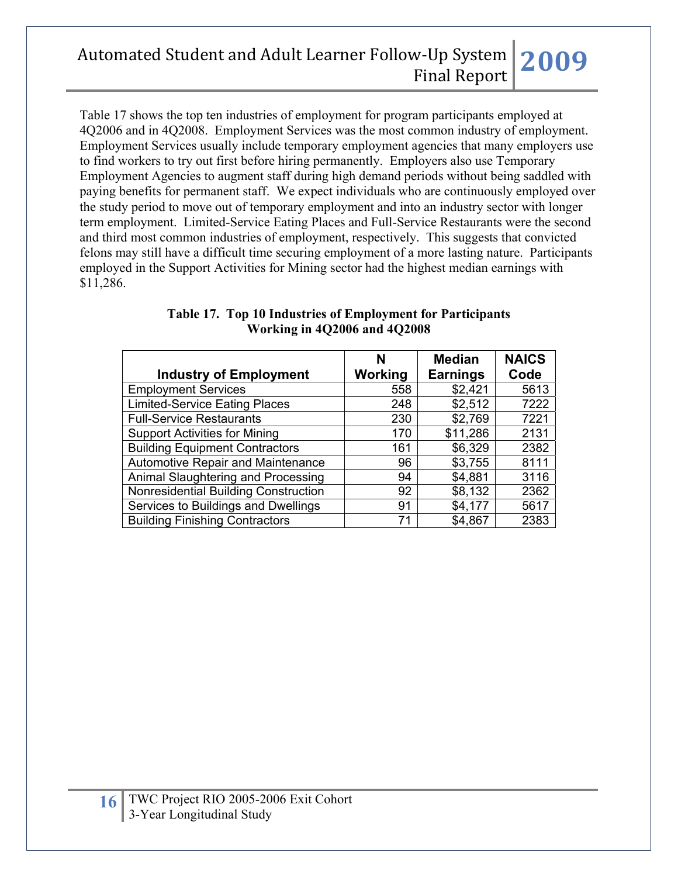Table 17 shows the top ten industries of employment for program participants employed at 4Q2006 and in 4Q2008. Employment Services was the most common industry of employment. Employment Services usually include temporary employment agencies that many employers use to find workers to try out first before hiring permanently. Employers also use Temporary Employment Agencies to augment staff during high demand periods without being saddled with paying benefits for permanent staff. We expect individuals who are continuously employed over the study period to move out of temporary employment and into an industry sector with longer term employment. Limited-Service Eating Places and Full-Service Restaurants were the second and third most common industries of employment, respectively. This suggests that convicted felons may still have a difficult time securing employment of a more lasting nature. Participants employed in the Support Activities for Mining sector had the highest median earnings with \$11,286.

|                                       | N       | <b>Median</b>   | <b>NAICS</b> |
|---------------------------------------|---------|-----------------|--------------|
| <b>Industry of Employment</b>         | Working | <b>Earnings</b> | Code         |
| <b>Employment Services</b>            | 558     | \$2,421         | 5613         |
| <b>Limited-Service Eating Places</b>  | 248     | \$2,512         | 7222         |
| <b>Full-Service Restaurants</b>       | 230     | \$2,769         | 7221         |
| <b>Support Activities for Mining</b>  | 170     | \$11,286        | 2131         |
| <b>Building Equipment Contractors</b> | 161     | \$6,329         | 2382         |
| Automotive Repair and Maintenance     | 96      | \$3,755         | 8111         |
| Animal Slaughtering and Processing    | 94      | \$4,881         | 3116         |
| Nonresidential Building Construction  | 92      | \$8,132         | 2362         |
| Services to Buildings and Dwellings   | 91      | \$4,177         | 5617         |
| <b>Building Finishing Contractors</b> | 71      | \$4,867         | 2383         |

#### **Table 17. Top 10 Industries of Employment for Participants Working in 4Q2006 and 4Q2008**